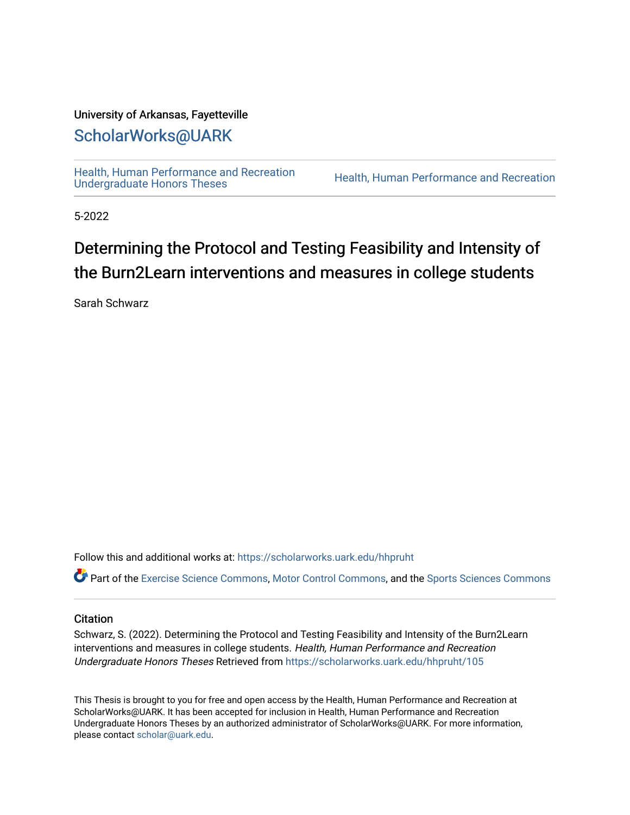# University of Arkansas, Fayetteville

# [ScholarWorks@UARK](https://scholarworks.uark.edu/)

[Health, Human Performance and Recreation](https://scholarworks.uark.edu/hhpruht) 

Health, Human Performance and Recreation

5-2022

# Determining the Protocol and Testing Feasibility and Intensity of the Burn2Learn interventions and measures in college students

Sarah Schwarz

Follow this and additional works at: [https://scholarworks.uark.edu/hhpruht](https://scholarworks.uark.edu/hhpruht?utm_source=scholarworks.uark.edu%2Fhhpruht%2F105&utm_medium=PDF&utm_campaign=PDFCoverPages) 

Part of the [Exercise Science Commons](http://network.bepress.com/hgg/discipline/1091?utm_source=scholarworks.uark.edu%2Fhhpruht%2F105&utm_medium=PDF&utm_campaign=PDFCoverPages), [Motor Control Commons](http://network.bepress.com/hgg/discipline/45?utm_source=scholarworks.uark.edu%2Fhhpruht%2F105&utm_medium=PDF&utm_campaign=PDFCoverPages), and the [Sports Sciences Commons](http://network.bepress.com/hgg/discipline/759?utm_source=scholarworks.uark.edu%2Fhhpruht%2F105&utm_medium=PDF&utm_campaign=PDFCoverPages) 

#### **Citation**

Schwarz, S. (2022). Determining the Protocol and Testing Feasibility and Intensity of the Burn2Learn interventions and measures in college students. Health, Human Performance and Recreation Undergraduate Honors Theses Retrieved from [https://scholarworks.uark.edu/hhpruht/105](https://scholarworks.uark.edu/hhpruht/105?utm_source=scholarworks.uark.edu%2Fhhpruht%2F105&utm_medium=PDF&utm_campaign=PDFCoverPages)

This Thesis is brought to you for free and open access by the Health, Human Performance and Recreation at ScholarWorks@UARK. It has been accepted for inclusion in Health, Human Performance and Recreation Undergraduate Honors Theses by an authorized administrator of ScholarWorks@UARK. For more information, please contact [scholar@uark.edu](mailto:scholar@uark.edu).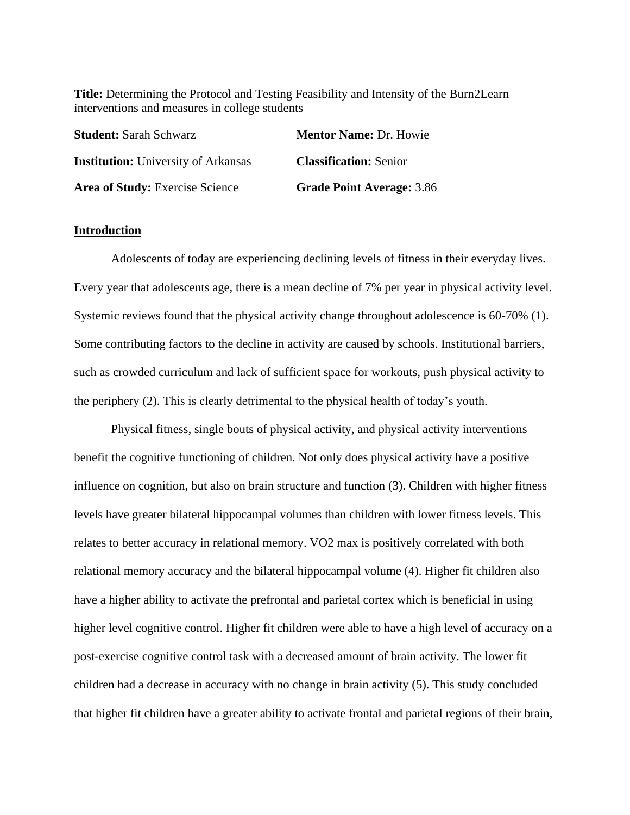**Title:** Determining the Protocol and Testing Feasibility and Intensity of the Burn2Learn interventions and measures in college students

| <b>Student: Sarah Schwarz</b>              | <b>Mentor Name: Dr. Howie</b>    |  |  |
|--------------------------------------------|----------------------------------|--|--|
| <b>Institution:</b> University of Arkansas | <b>Classification: Senior</b>    |  |  |
| Area of Study: Exercise Science            | <b>Grade Point Average: 3.86</b> |  |  |

### **Introduction**

Adolescents of today are experiencing declining levels of fitness in their everyday lives. Every year that adolescents age, there is a mean decline of 7% per year in physical activity level. Systemic reviews found that the physical activity change throughout adolescence is 60-70% (1). Some contributing factors to the decline in activity are caused by schools. Institutional barriers, such as crowded curriculum and lack of sufficient space for workouts, push physical activity to the periphery (2). This is clearly detrimental to the physical health of today's youth.

Physical fitness, single bouts of physical activity, and physical activity interventions benefit the cognitive functioning of children. Not only does physical activity have a positive influence on cognition, but also on brain structure and function (3). Children with higher fitness levels have greater bilateral hippocampal volumes than children with lower fitness levels. This relates to better accuracy in relational memory. VO2 max is positively correlated with both relational memory accuracy and the bilateral hippocampal volume (4). Higher fit children also have a higher ability to activate the prefrontal and parietal cortex which is beneficial in using higher level cognitive control. Higher fit children were able to have a high level of accuracy on a post-exercise cognitive control task with a decreased amount of brain activity. The lower fit children had a decrease in accuracy with no change in brain activity (5). This study concluded that higher fit children have a greater ability to activate frontal and parietal regions of their brain,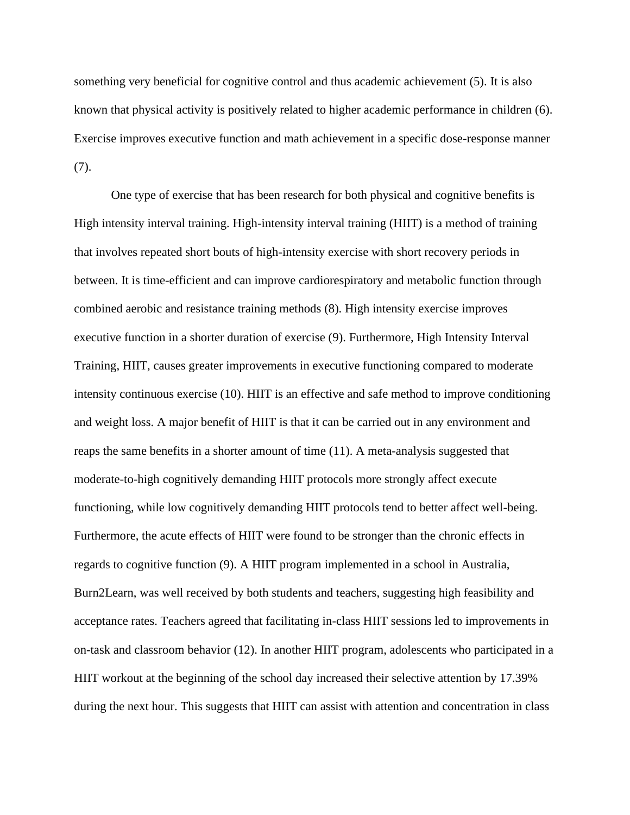something very beneficial for cognitive control and thus academic achievement (5). It is also known that physical activity is positively related to higher academic performance in children (6). Exercise improves executive function and math achievement in a specific dose-response manner (7).

One type of exercise that has been research for both physical and cognitive benefits is High intensity interval training. High-intensity interval training (HIIT) is a method of training that involves repeated short bouts of high-intensity exercise with short recovery periods in between. It is time-efficient and can improve cardiorespiratory and metabolic function through combined aerobic and resistance training methods (8). High intensity exercise improves executive function in a shorter duration of exercise (9). Furthermore, High Intensity Interval Training, HIIT, causes greater improvements in executive functioning compared to moderate intensity continuous exercise (10). HIIT is an effective and safe method to improve conditioning and weight loss. A major benefit of HIIT is that it can be carried out in any environment and reaps the same benefits in a shorter amount of time (11). A meta-analysis suggested that moderate-to-high cognitively demanding HIIT protocols more strongly affect execute functioning, while low cognitively demanding HIIT protocols tend to better affect well-being. Furthermore, the acute effects of HIIT were found to be stronger than the chronic effects in regards to cognitive function (9). A HIIT program implemented in a school in Australia, Burn2Learn, was well received by both students and teachers, suggesting high feasibility and acceptance rates. Teachers agreed that facilitating in-class HIIT sessions led to improvements in on-task and classroom behavior (12). In another HIIT program, adolescents who participated in a HIIT workout at the beginning of the school day increased their selective attention by 17.39% during the next hour. This suggests that HIIT can assist with attention and concentration in class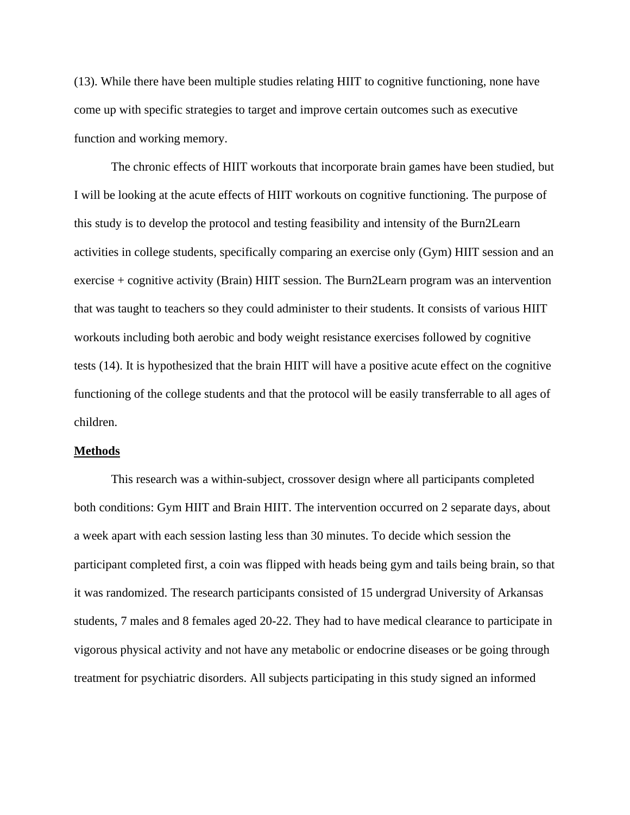(13). While there have been multiple studies relating HIIT to cognitive functioning, none have come up with specific strategies to target and improve certain outcomes such as executive function and working memory.

The chronic effects of HIIT workouts that incorporate brain games have been studied, but I will be looking at the acute effects of HIIT workouts on cognitive functioning. The purpose of this study is to develop the protocol and testing feasibility and intensity of the Burn2Learn activities in college students, specifically comparing an exercise only (Gym) HIIT session and an exercise + cognitive activity (Brain) HIIT session. The Burn2Learn program was an intervention that was taught to teachers so they could administer to their students. It consists of various HIIT workouts including both aerobic and body weight resistance exercises followed by cognitive tests (14). It is hypothesized that the brain HIIT will have a positive acute effect on the cognitive functioning of the college students and that the protocol will be easily transferrable to all ages of children.

#### **Methods**

This research was a within-subject, crossover design where all participants completed both conditions: Gym HIIT and Brain HIIT. The intervention occurred on 2 separate days, about a week apart with each session lasting less than 30 minutes. To decide which session the participant completed first, a coin was flipped with heads being gym and tails being brain, so that it was randomized. The research participants consisted of 15 undergrad University of Arkansas students, 7 males and 8 females aged 20-22. They had to have medical clearance to participate in vigorous physical activity and not have any metabolic or endocrine diseases or be going through treatment for psychiatric disorders. All subjects participating in this study signed an informed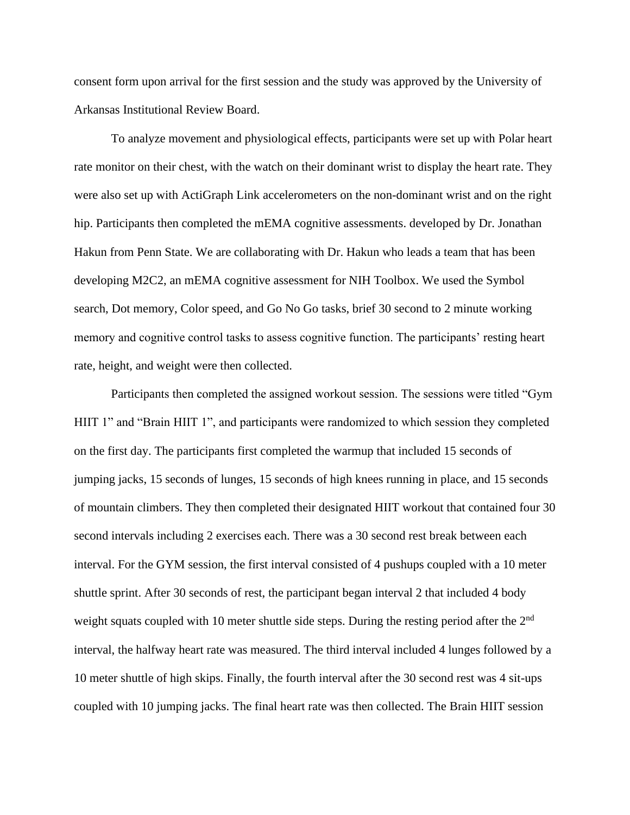consent form upon arrival for the first session and the study was approved by the University of Arkansas Institutional Review Board.

To analyze movement and physiological effects, participants were set up with Polar heart rate monitor on their chest, with the watch on their dominant wrist to display the heart rate. They were also set up with ActiGraph Link accelerometers on the non-dominant wrist and on the right hip. Participants then completed the mEMA cognitive assessments. developed by Dr. Jonathan Hakun from Penn State. We are collaborating with Dr. Hakun who leads a team that has been developing M2C2, an mEMA cognitive assessment for NIH Toolbox. We used the Symbol search, Dot memory, Color speed, and Go No Go tasks, brief 30 second to 2 minute working memory and cognitive control tasks to assess cognitive function. The participants' resting heart rate, height, and weight were then collected.

Participants then completed the assigned workout session. The sessions were titled "Gym HIIT 1" and "Brain HIIT 1", and participants were randomized to which session they completed on the first day. The participants first completed the warmup that included 15 seconds of jumping jacks, 15 seconds of lunges, 15 seconds of high knees running in place, and 15 seconds of mountain climbers. They then completed their designated HIIT workout that contained four 30 second intervals including 2 exercises each. There was a 30 second rest break between each interval. For the GYM session, the first interval consisted of 4 pushups coupled with a 10 meter shuttle sprint. After 30 seconds of rest, the participant began interval 2 that included 4 body weight squats coupled with 10 meter shuttle side steps. During the resting period after the  $2<sup>nd</sup>$ interval, the halfway heart rate was measured. The third interval included 4 lunges followed by a 10 meter shuttle of high skips. Finally, the fourth interval after the 30 second rest was 4 sit-ups coupled with 10 jumping jacks. The final heart rate was then collected. The Brain HIIT session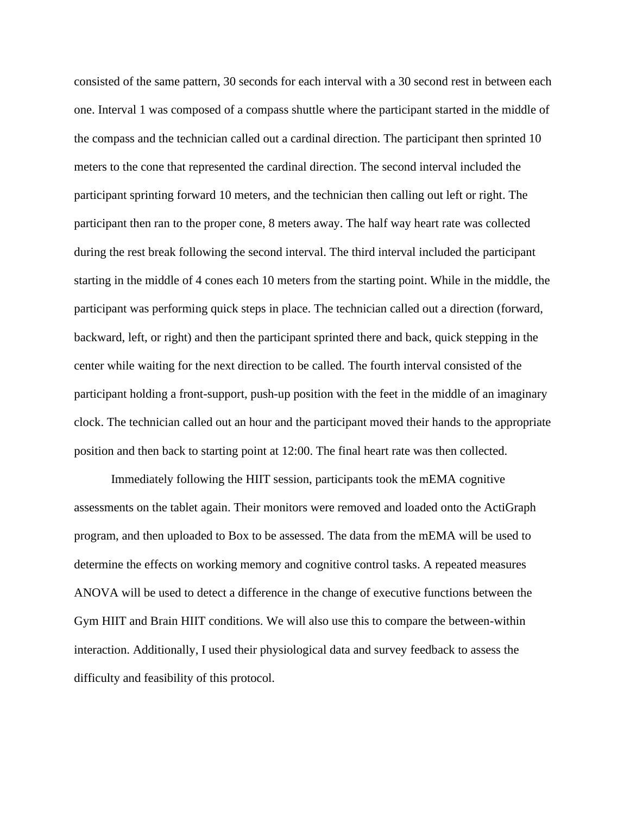consisted of the same pattern, 30 seconds for each interval with a 30 second rest in between each one. Interval 1 was composed of a compass shuttle where the participant started in the middle of the compass and the technician called out a cardinal direction. The participant then sprinted 10 meters to the cone that represented the cardinal direction. The second interval included the participant sprinting forward 10 meters, and the technician then calling out left or right. The participant then ran to the proper cone, 8 meters away. The half way heart rate was collected during the rest break following the second interval. The third interval included the participant starting in the middle of 4 cones each 10 meters from the starting point. While in the middle, the participant was performing quick steps in place. The technician called out a direction (forward, backward, left, or right) and then the participant sprinted there and back, quick stepping in the center while waiting for the next direction to be called. The fourth interval consisted of the participant holding a front-support, push-up position with the feet in the middle of an imaginary clock. The technician called out an hour and the participant moved their hands to the appropriate position and then back to starting point at 12:00. The final heart rate was then collected.

Immediately following the HIIT session, participants took the mEMA cognitive assessments on the tablet again. Their monitors were removed and loaded onto the ActiGraph program, and then uploaded to Box to be assessed. The data from the mEMA will be used to determine the effects on working memory and cognitive control tasks. A repeated measures ANOVA will be used to detect a difference in the change of executive functions between the Gym HIIT and Brain HIIT conditions. We will also use this to compare the between-within interaction. Additionally, I used their physiological data and survey feedback to assess the difficulty and feasibility of this protocol.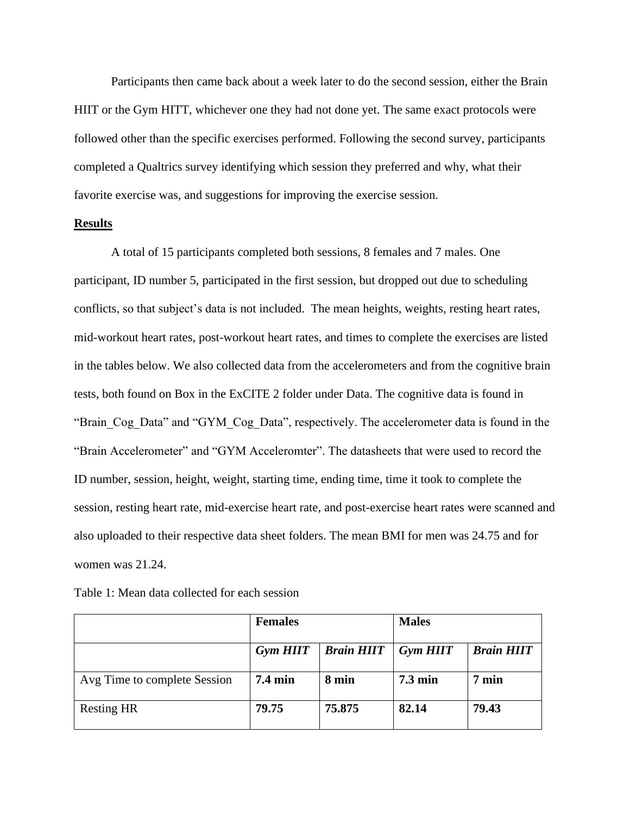Participants then came back about a week later to do the second session, either the Brain HIIT or the Gym HITT, whichever one they had not done yet. The same exact protocols were followed other than the specific exercises performed. Following the second survey, participants completed a Qualtrics survey identifying which session they preferred and why, what their favorite exercise was, and suggestions for improving the exercise session.

## **Results**

A total of 15 participants completed both sessions, 8 females and 7 males. One participant, ID number 5, participated in the first session, but dropped out due to scheduling conflicts, so that subject's data is not included. The mean heights, weights, resting heart rates, mid-workout heart rates, post-workout heart rates, and times to complete the exercises are listed in the tables below. We also collected data from the accelerometers and from the cognitive brain tests, both found on Box in the ExCITE 2 folder under Data. The cognitive data is found in "Brain Cog Data" and "GYM Cog Data", respectively. The accelerometer data is found in the "Brain Accelerometer" and "GYM Acceleromter". The datasheets that were used to record the ID number, session, height, weight, starting time, ending time, time it took to complete the session, resting heart rate, mid-exercise heart rate, and post-exercise heart rates were scanned and also uploaded to their respective data sheet folders. The mean BMI for men was 24.75 and for women was 21.24.

Table 1: Mean data collected for each session

|                              | <b>Females</b>    |                   | <b>Males</b>      |                   |
|------------------------------|-------------------|-------------------|-------------------|-------------------|
|                              |                   |                   |                   |                   |
|                              | Gym HIIT          | <b>Brain HIIT</b> | <b>Gym HIIT</b>   | <b>Brain HIIT</b> |
|                              |                   |                   |                   |                   |
| Avg Time to complete Session | $7.4 \text{ min}$ | 8 min             | $7.3 \text{ min}$ | $7 \text{ min}$   |
|                              |                   |                   |                   |                   |
| <b>Resting HR</b>            | 79.75             | 75.875            | 82.14             | 79.43             |
|                              |                   |                   |                   |                   |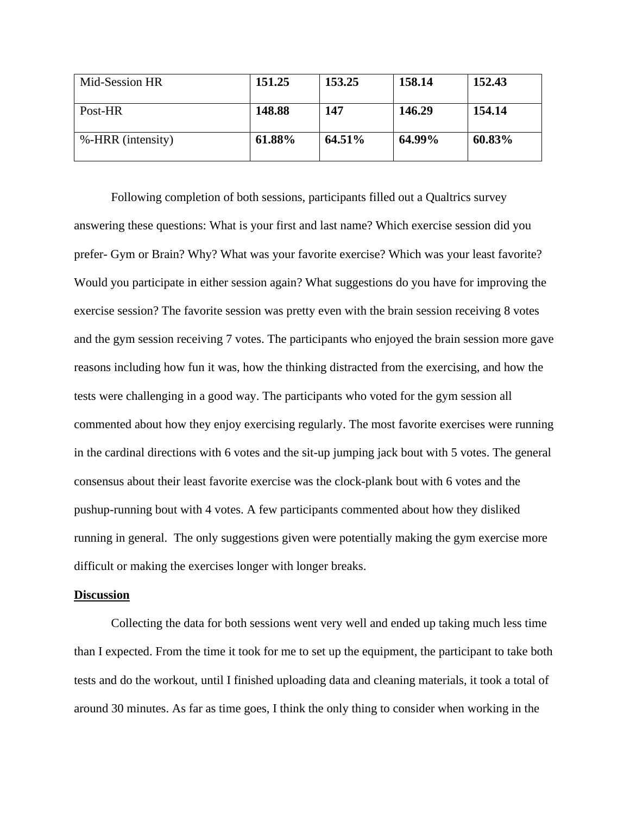| Mid-Session HR    | 151.25 | 153.25 | 158.14 | 152.43 |
|-------------------|--------|--------|--------|--------|
| Post-HR           | 148.88 | 147    | 146.29 | 154.14 |
| %-HRR (intensity) | 61.88% | 64.51% | 64.99% | 60.83% |

Following completion of both sessions, participants filled out a Qualtrics survey answering these questions: What is your first and last name? Which exercise session did you prefer- Gym or Brain? Why? What was your favorite exercise? Which was your least favorite? Would you participate in either session again? What suggestions do you have for improving the exercise session? The favorite session was pretty even with the brain session receiving 8 votes and the gym session receiving 7 votes. The participants who enjoyed the brain session more gave reasons including how fun it was, how the thinking distracted from the exercising, and how the tests were challenging in a good way. The participants who voted for the gym session all commented about how they enjoy exercising regularly. The most favorite exercises were running in the cardinal directions with 6 votes and the sit-up jumping jack bout with 5 votes. The general consensus about their least favorite exercise was the clock-plank bout with 6 votes and the pushup-running bout with 4 votes. A few participants commented about how they disliked running in general. The only suggestions given were potentially making the gym exercise more difficult or making the exercises longer with longer breaks.

#### **Discussion**

Collecting the data for both sessions went very well and ended up taking much less time than I expected. From the time it took for me to set up the equipment, the participant to take both tests and do the workout, until I finished uploading data and cleaning materials, it took a total of around 30 minutes. As far as time goes, I think the only thing to consider when working in the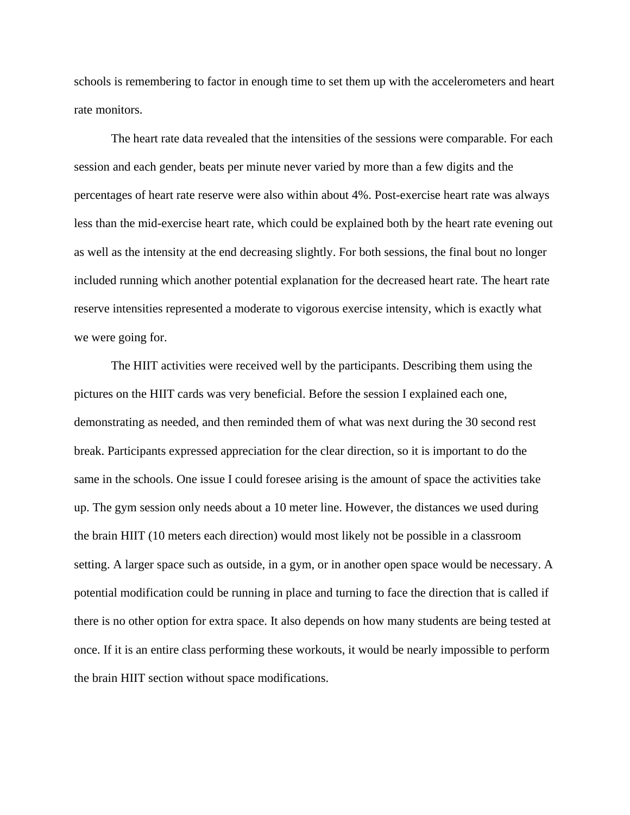schools is remembering to factor in enough time to set them up with the accelerometers and heart rate monitors.

The heart rate data revealed that the intensities of the sessions were comparable. For each session and each gender, beats per minute never varied by more than a few digits and the percentages of heart rate reserve were also within about 4%. Post-exercise heart rate was always less than the mid-exercise heart rate, which could be explained both by the heart rate evening out as well as the intensity at the end decreasing slightly. For both sessions, the final bout no longer included running which another potential explanation for the decreased heart rate. The heart rate reserve intensities represented a moderate to vigorous exercise intensity, which is exactly what we were going for.

The HIIT activities were received well by the participants. Describing them using the pictures on the HIIT cards was very beneficial. Before the session I explained each one, demonstrating as needed, and then reminded them of what was next during the 30 second rest break. Participants expressed appreciation for the clear direction, so it is important to do the same in the schools. One issue I could foresee arising is the amount of space the activities take up. The gym session only needs about a 10 meter line. However, the distances we used during the brain HIIT (10 meters each direction) would most likely not be possible in a classroom setting. A larger space such as outside, in a gym, or in another open space would be necessary. A potential modification could be running in place and turning to face the direction that is called if there is no other option for extra space. It also depends on how many students are being tested at once. If it is an entire class performing these workouts, it would be nearly impossible to perform the brain HIIT section without space modifications.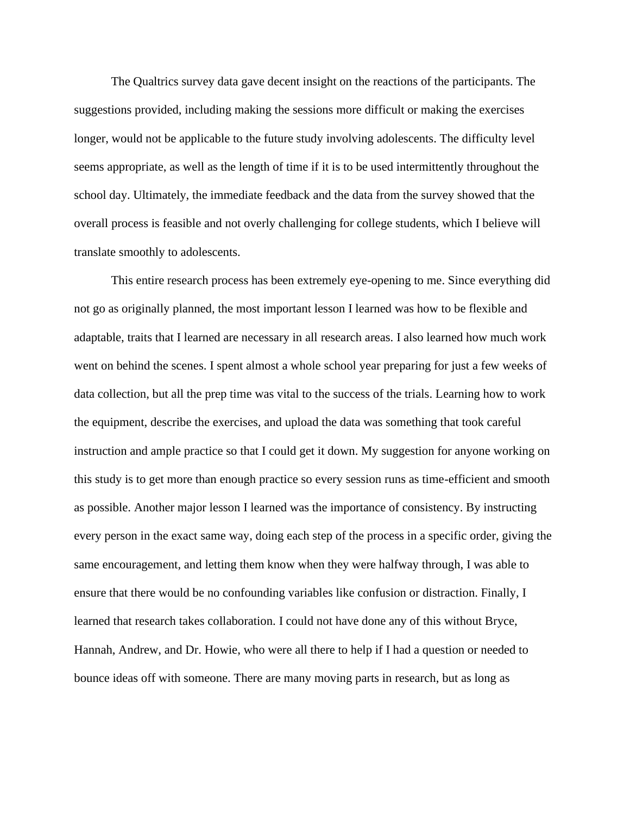The Qualtrics survey data gave decent insight on the reactions of the participants. The suggestions provided, including making the sessions more difficult or making the exercises longer, would not be applicable to the future study involving adolescents. The difficulty level seems appropriate, as well as the length of time if it is to be used intermittently throughout the school day. Ultimately, the immediate feedback and the data from the survey showed that the overall process is feasible and not overly challenging for college students, which I believe will translate smoothly to adolescents.

This entire research process has been extremely eye-opening to me. Since everything did not go as originally planned, the most important lesson I learned was how to be flexible and adaptable, traits that I learned are necessary in all research areas. I also learned how much work went on behind the scenes. I spent almost a whole school year preparing for just a few weeks of data collection, but all the prep time was vital to the success of the trials. Learning how to work the equipment, describe the exercises, and upload the data was something that took careful instruction and ample practice so that I could get it down. My suggestion for anyone working on this study is to get more than enough practice so every session runs as time-efficient and smooth as possible. Another major lesson I learned was the importance of consistency. By instructing every person in the exact same way, doing each step of the process in a specific order, giving the same encouragement, and letting them know when they were halfway through, I was able to ensure that there would be no confounding variables like confusion or distraction. Finally, I learned that research takes collaboration. I could not have done any of this without Bryce, Hannah, Andrew, and Dr. Howie, who were all there to help if I had a question or needed to bounce ideas off with someone. There are many moving parts in research, but as long as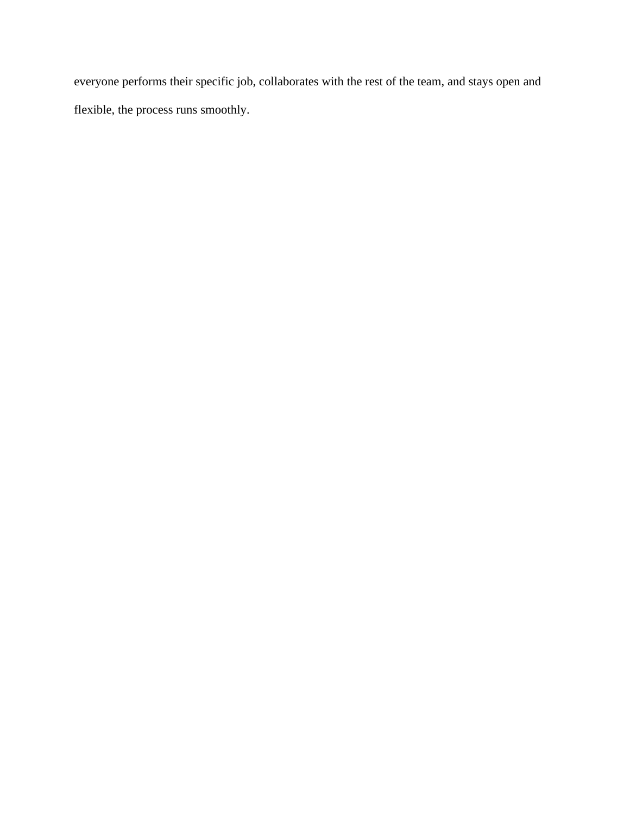everyone performs their specific job, collaborates with the rest of the team, and stays open and flexible, the process runs smoothly.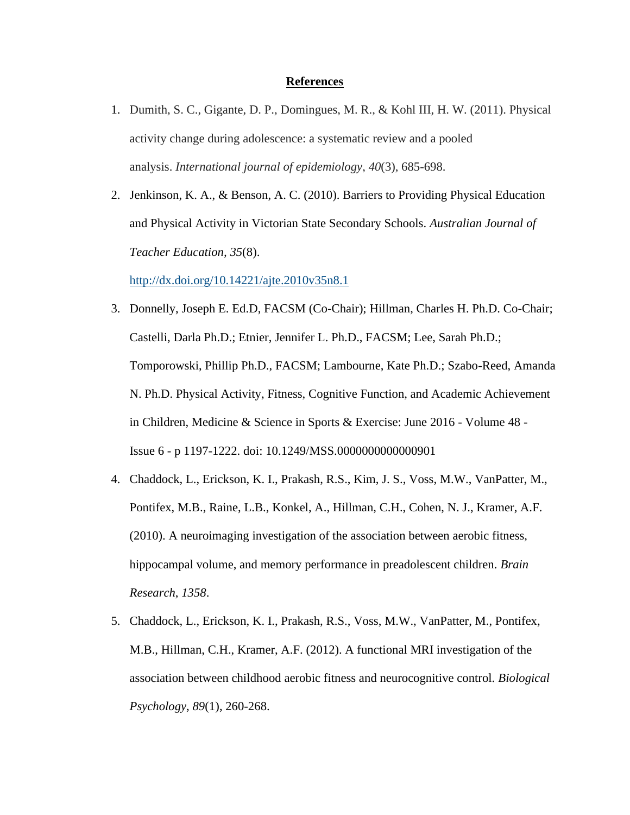#### **References**

- 1. Dumith, S. C., Gigante, D. P., Domingues, M. R., & Kohl III, H. W. (2011). Physical activity change during adolescence: a systematic review and a pooled analysis. *International journal of epidemiology*, *40*(3), 685-698.
- 2. Jenkinson, K. A., & Benson, A. C. (2010). Barriers to Providing Physical Education and Physical Activity in Victorian State Secondary Schools. *Australian Journal of Teacher Education, 35*(8).

<http://dx.doi.org/10.14221/ajte.2010v35n8.1>

- 3. Donnelly, Joseph E. Ed.D, FACSM (Co-Chair); Hillman, Charles H. Ph.D. Co-Chair; Castelli, Darla Ph.D.; Etnier, Jennifer L. Ph.D., FACSM; Lee, Sarah Ph.D.; Tomporowski, Phillip Ph.D., FACSM; Lambourne, Kate Ph.D.; Szabo-Reed, Amanda N. Ph.D. Physical Activity, Fitness, Cognitive Function, and Academic Achievement in Children, Medicine & Science in Sports & Exercise: June 2016 - Volume 48 - Issue 6 - p 1197-1222. doi: 10.1249/MSS.0000000000000901
- 4. Chaddock, L., Erickson, K. I., Prakash, R.S., Kim, J. S., Voss, M.W., VanPatter, M., Pontifex, M.B., Raine, L.B., Konkel, A., Hillman, C.H., Cohen, N. J., Kramer, A.F. (2010). A neuroimaging investigation of the association between aerobic fitness, hippocampal volume, and memory performance in preadolescent children. *Brain Research*, *1358*.
- 5. Chaddock, L., Erickson, K. I., Prakash, R.S., Voss, M.W., VanPatter, M., Pontifex, M.B., Hillman, C.H., Kramer, A.F. (2012). A functional MRI investigation of the association between childhood aerobic fitness and neurocognitive control. *Biological Psychology*, *89*(1), 260-268.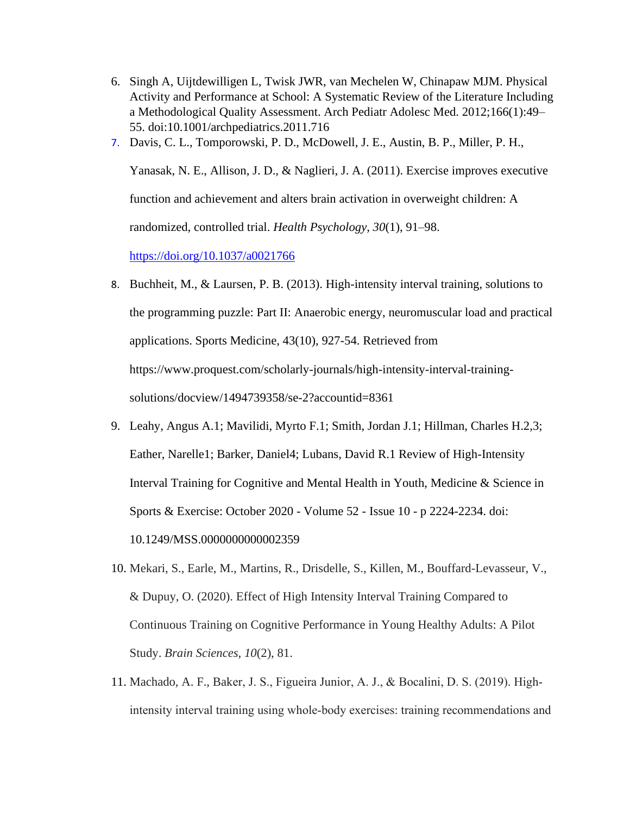- 6. Singh A, Uijtdewilligen L, Twisk JWR, van Mechelen W, Chinapaw MJM. Physical Activity and Performance at School: A Systematic Review of the Literature Including a Methodological Quality Assessment. Arch Pediatr Adolesc Med. 2012;166(1):49– 55. doi:10.1001/archpediatrics.2011.716
- 7. Davis, C. L., Tomporowski, P. D., McDowell, J. E., Austin, B. P., Miller, P. H.,

Yanasak, N. E., Allison, J. D., & Naglieri, J. A. (2011). Exercise improves executive function and achievement and alters brain activation in overweight children: A randomized, controlled trial. *Health Psychology, 30*(1), 91–98.

<https://doi.org/10.1037/a0021766>

- 8. Buchheit, M., & Laursen, P. B. (2013). High-intensity interval training, solutions to the programming puzzle: Part II: Anaerobic energy, neuromuscular load and practical applications. Sports Medicine, 43(10), 927-54. Retrieved from https://www.proquest.com/scholarly-journals/high-intensity-interval-trainingsolutions/docview/1494739358/se-2?accountid=8361
- 9. Leahy, Angus A.1; Mavilidi, Myrto F.1; Smith, Jordan J.1; Hillman, Charles H.2,3; Eather, Narelle1; Barker, Daniel4; Lubans, David R.1 Review of High-Intensity Interval Training for Cognitive and Mental Health in Youth, Medicine & Science in Sports & Exercise: October 2020 - Volume 52 - Issue 10 - p 2224-2234. doi: 10.1249/MSS.0000000000002359
- 10. Mekari, S., Earle, M., Martins, R., Drisdelle, S., Killen, M., Bouffard-Levasseur, V., & Dupuy, O. (2020). Effect of High Intensity Interval Training Compared to Continuous Training on Cognitive Performance in Young Healthy Adults: A Pilot Study. *Brain Sciences*, *10*(2), 81.
- 11. Machado, A. F., Baker, J. S., Figueira Junior, A. J., & Bocalini, D. S. (2019). High‐ intensity interval training using whole‐body exercises: training recommendations and